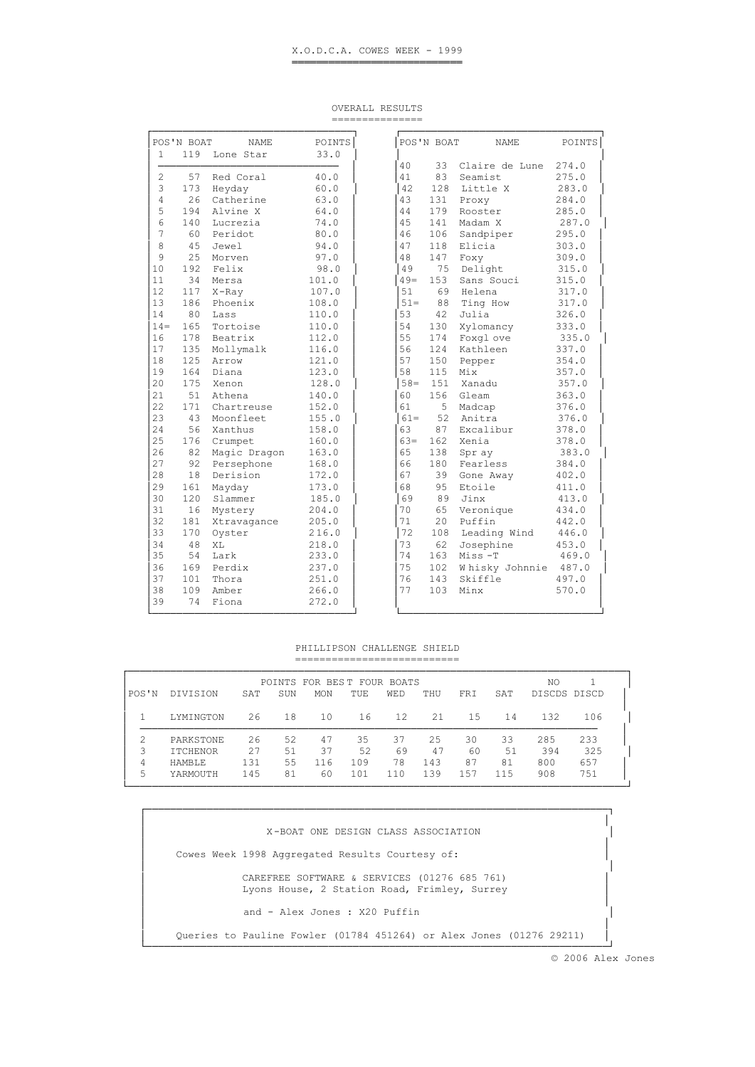| 1              | POS'N BOAT<br>119 | NAME<br>Lone Star | POINTS<br>33.0 |
|----------------|-------------------|-------------------|----------------|
|                |                   |                   |                |
| 2              | 57                | Red Coral         | 40.0           |
| 3              | 173               | Heyday            | 60.0           |
| $\overline{4}$ | 26                | Catherine         | 63.0           |
| 5              | 194               | Alvine X          | 64.0           |
| 6              | 140               | Lucrezia          | 74.0           |
| 7              | 60                | Peridot           | 80.0           |
| 8              | 45                | Jewel             | 94.0           |
| 9              | 25                | Morven            | 97.0           |
| 10             | 192               | Felix             | 98.0           |
| 11             | 34                | Mersa             | 101.0          |
| 12             | 117               | $X$ -Ray          | 107.0          |
| 13             | 186               | Phoenix           | 108.0          |
| 14             | 80                | Lass              | 110.0          |
| $14 =$         | 165               | Tortoise          | 110.0          |
| 16             | 178               | Beatrix           | 112.0          |
| 17             | 135               | Mollymalk         | 116.0          |
| 18             | 125               | Arrow             | 121.0          |
| 19             | 164               | Diana             | 123.0          |
| 20             | 175               | Xenon             | 128.0          |
| 21             | 51                | Athena            | 140.0          |
| 22             | 171               | Chartreuse        | 152.0          |
| 23             | 43                | Moonfleet         | 155.0          |
| 24             | 56                | Xanthus           | 158.0          |
| 25             | 176               | Crumpet           | 160.0          |
| 26             | 82                | Magic Dragon      | 163.0          |
| 27             | 92                | Persephone        | 168.0          |
| 28             | 18                | Derision          | 172.0          |
| 29             | 161               | Mayday            | 173.0          |
| 30             | 120               | Slammer           | 185.0          |
| 31             | 16                | Mystery           | 204.0          |
| 32             | 181               | Xtravagance       | 205.0          |
| 33             | 170               | Oyster            | 216.0          |
| 34             | 48                | XT <sub>1</sub>   | 218.0          |
| 35             | 54                | Lark              | 233.0          |
| 36             | 169               | Perdix            | 237.0          |
| 37             | 101               | Thora             | 251.0          |
| 38             | 109               | Amber             | 266.0          |
| 39             | 74                | Fiona             | 272.0          |

OVERALL RESULTS ===============

PHILLIPSON CHALLENGE SHIELD ===========================

└─────────────────────────────────┘ └─────────────────────────────────┘

|       |                 |     |     |            | POINTS FOR BEST FOUR BOATS |            |     |            |     | NO           |     |
|-------|-----------------|-----|-----|------------|----------------------------|------------|-----|------------|-----|--------------|-----|
| POS'N | <b>DIVISION</b> | SAT | SUN | <b>MON</b> | TUE.                       | <b>WED</b> | THU | <b>FRT</b> | SAT | DISCDS DISCD |     |
|       | LYMINGTON       | 26  | 18  | 10         | 16                         | 12.        | 21  | 15         | 14  | 132          | 106 |
| 2     | PARKSTONE       | 26  | 52  | 47         | 35                         | 37         | 25  | 30         | 33  | 285          | 233 |
| 3     | <b>ITCHENOR</b> | 27  | 51  | 37         | 52                         | 69         | 47  | 60         | 51  | 394          | 325 |
| 4     | <b>HAMBLE</b>   | 131 | 55  | 116        | 109                        | 78         | 143 | 87         | 81  | 800          | 657 |
| 5     | YARMOUTH        | 145 | 81  | 60         | 101                        | 110        | 139 | 157        | 115 | 908          | 751 |

| X-BOAT ONE DESIGN CLASS ASSOCIATION                                                          |
|----------------------------------------------------------------------------------------------|
| Cowes Week 1998 Aggregated Results Courtesy of:                                              |
| CAREFREE SOFTWARE & SERVICES (01276 685 761)<br>Lyons House, 2 Station Road, Frimley, Surrey |
| and - Alex Jones : X20 Puffin                                                                |
| Oueries to Pauline Fowler (01784 451264) or Alex Jones (01276 29211)                         |

© 2006 Alex Jones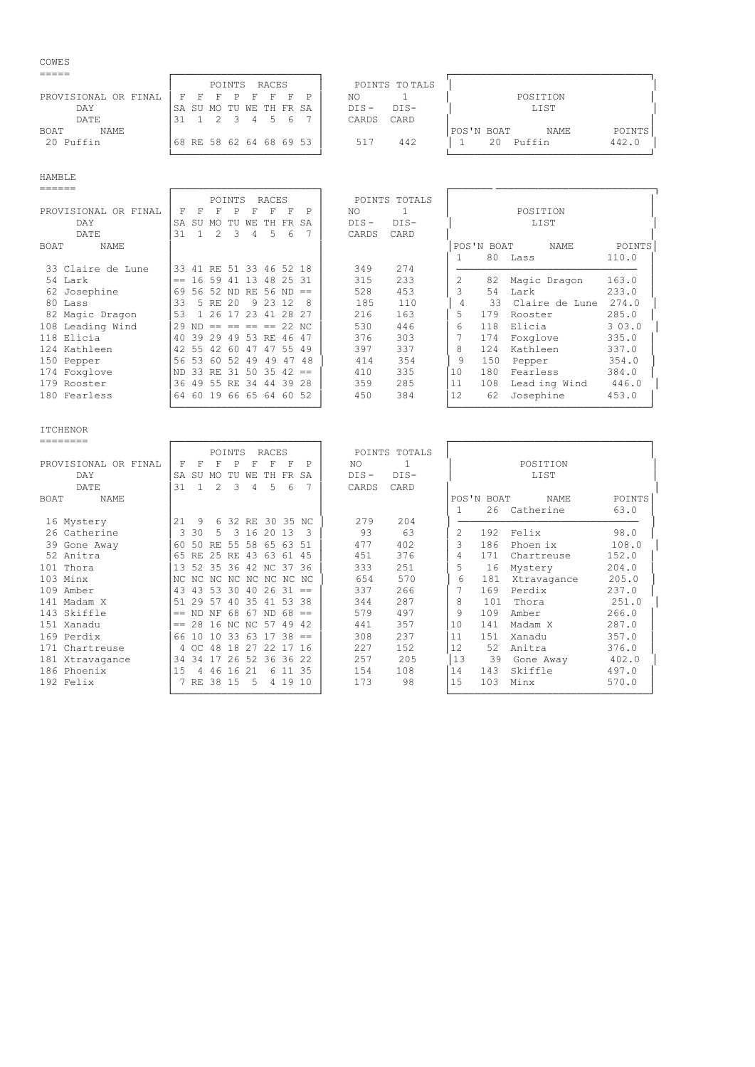#### COWES

|                      | RACES<br>POINTS            | POINTS TO TALS    |                              |
|----------------------|----------------------------|-------------------|------------------------------|
| PROVISIONAL OR FINAL | F.<br>F.<br>P.<br>F.<br>F. | NO.               | POSITION                     |
| DAY                  | SA SU MO TU WE TH FR SA    | $DTS-$<br>$DTS -$ | LIST                         |
| DATE                 | 4<br>-5                    | CARD<br>CARDS     |                              |
| NAME<br>BOAT         |                            |                   | POINTS<br>POS'N BOAT<br>NAME |
| 20 Puffin            | 68 RE 58 62 64 68 69 53    | 442<br>517        | Puffin<br>442.0<br>20        |
|                      |                            |                   |                              |

## HAMBLE

| ______               |      |     |       |        |     |                         |          |      |         |               |                |            |                |        |
|----------------------|------|-----|-------|--------|-----|-------------------------|----------|------|---------|---------------|----------------|------------|----------------|--------|
|                      |      |     |       | POINTS |     | RACES                   |          |      |         | POINTS TOTALS |                |            |                |        |
| PROVISIONAL OR FINAL | F    | F   | F     | Ρ      |     |                         | F        | P    | NO.     |               |                |            | POSITION       |        |
| DAY                  | SA   | SU  | MO    | TU     | WF. | TН                      | FR       | SA   | $DIS -$ | $DIS-$        |                |            | LIST           |        |
| DATE                 | 31   |     | 2     | 3      | 4   | 5                       | 6        |      | CARDS   | CARD          |                |            |                |        |
| BOAT<br>NAME         |      |     |       |        |     |                         |          |      |         |               |                | POS'N BOAT | NAME           | POINTS |
|                      |      |     |       |        |     |                         |          |      |         |               |                |            | 80 Lass        | 110.0  |
| 33 Claire de Lune    | 33   | 41  |       |        |     | RE 51 33 46 52 18       |          |      | 349     | 2.74          |                |            |                |        |
| 54 Lark              | $==$ | 16  | 59    | 41     | 13  |                         | 48 25 31 |      | 315     | 233           | 2              | 82         | Magic Dragon   | 163.0  |
| 62 Josephine         | 69   | 56  | 52    | ND.    | RE. | 56                      | ND.      | $==$ | 528     | 453           | 3              | 54         | Lark           | 233.0  |
| 80 Lass              | 33   |     | 5 RF. | 2.0    |     | 9 23                    | 12       | 8    | 185     | 110           | $\overline{4}$ | 33         | Claire de Lune | 274.0  |
| 82 Magic Dragon      | 53   |     | 2.6   | 17     | 23  | 41                      | 2.8      | -27  | 216     | 163           | 5              | 179        | Rooster        | 285.0  |
| 108 Leading Wind     | 29   | ND. |       |        |     | $== == == 22$ NC        |          |      | 530     | 446           | 6              | 118        | Elicia         | 303.0  |
| 118 Elicia           | 40   | 39  | 29    |        |     | 49 53 RE                | 46       | -47  | 376     | 303           |                | 174        | Foxglove       | 335.0  |
| 124 Kathleen         | 42   | 55  | 42    | 60     | 47  | 47                      | 55       | 49   | 397     | 337           | 8              | 124        | Kathleen       | 337.0  |
| 150 Pepper           | 56   | -53 | 60    | 52 49  |     | 49                      | 47       | 48   | 414     | 354           | 9              | 150        | Pepper         | 354.0  |
| 174 Foxglove         | ND.  | 33  | RE.   | -31    |     | 50 35                   | 42       | $==$ | 410     | 335           | 10             | 180        | Fearless       | 384.0  |
| 179 Rooster          | 36   | 49  | .55   | RE     | 34  | 44                      | 39       | -28  | 359     | 285           | 11             | 108        | Lead ing Wind  | 446.0  |
| 180 Fearless         |      |     |       |        |     | 64 60 19 66 65 64 60 52 |          |      | 450     | 384           | 12             | 62         | Josephine      | 453.0  |
|                      |      |     |       |        |     |                         |          |      |         |               |                |            |                |        |

ITCHENOR<br>========

| -------              |                         |     |       |        |     |                  |         |      |         |               |     |            |              |               |
|----------------------|-------------------------|-----|-------|--------|-----|------------------|---------|------|---------|---------------|-----|------------|--------------|---------------|
|                      |                         |     |       | POINTS |     | RACES            |         |      |         | POINTS TOTALS |     |            |              |               |
| PROVISIONAL OR FINAL | F                       | F   | F     | Ρ      |     | F                | F       | P    | NO.     |               |     |            | POSITION     |               |
| DAY                  | SA                      | SU  | MO.   | TU     | WF. | TH.              | FR.     | SA   | $DIS -$ | $DIS-$        |     |            | LIST         |               |
| DATE                 | 31                      |     | 2     | 3      | 4   | 5.               | 6       |      | CARDS   | CARD          |     |            |              |               |
| NAME<br>BOAT         |                         |     |       |        |     |                  |         |      |         |               |     | POS'N BOAT | <b>NAME</b>  | <b>POINTS</b> |
|                      |                         |     |       |        |     |                  |         |      |         |               |     |            | 26 Catherine | 63.0          |
| 16 Mystery           | 2.1                     | 9   |       |        |     | 6 32 RE 30 35 NC |         |      | 279     | 2.04          |     |            |              |               |
| 26 Catherine         | 3                       | 30  | 5     | 3      | 16  | 20 13            |         | Β    | 93      | 63            | 2   | 192        | Felix        | 98.0          |
| 39 Gone Away         | 60                      | 50  | RE.   | 55     | 58  | 65               | 63      | 51   | 477     | 402           | 3   | 186        | Phoen ix     | 108.0         |
| 52 Anitra            | 65                      | RE. | 2.5   | RE.    | 43  | 63               | -61     | 45   | 451     | 376           | 4   | 171        | Chartreuse   | 152.0         |
| 101 Thora            | 13                      | 52  | 35    |        |     | 36 42 NC 37 36   |         |      | 333     | 251           | 5   | 16         | Mystery      | 204.0         |
| 103 Minx             | NC NC NC NC NC NC NC NC |     |       |        |     |                  |         |      | 654     | 570           | 6   | 181        | Xtravagance  | 205.0         |
| 109 Amber            | 43                      | 43  |       |        |     | 53 30 40 26 31   |         | $==$ | 337     | 266           |     | 169        | Perdix       | 237.0         |
| 141 Madam X          | 51                      | 29  | -57   | 40     | 35  | 41               | 53      | 38   | 344     | 287           | 8   | 101        | Thora        | 251.0         |
| 143 Skiffle          | $==$                    | ND. | NF    | 68     | 67  | ND.              | 68      | $=$  | 579     | 497           | 9   | 109        | Amber        | 266.0         |
| 151 Xanadu           | $==$                    | 28  |       |        |     | 16 NC NC 57      | 49      | 42   | 441     | 357           | 10  | 141        | Madam X      | 287.0         |
| 169 Perdix           | 66 10                   |     | 10    | 33     | 63  | 17               | 38      | $==$ | 308     | 237           | 11  | 151        | Xanadu       | 357.0         |
| 171 Chartreuse       |                         | ne. | 48    | 18     | 27  | 22               | 17      | 16   | 227     | 152           | 12  | 52         | Anitra       | 376.0         |
| 181 Xtravagance      | 34                      | 34  | 17    | 26 52  |     | 36 36 22         |         |      | 257     | 205           | 13  | 39         | Gone Away    | 402.0         |
| 186 Phoenix          | 1.5                     | 4   | 46    | 16     | 2.1 |                  | 6 11    | 35   | 154     | 108           | 14  | 143        | Skiffle      | 497.0         |
| 192 Felix            |                         | RE  | 38 15 |        | -5  |                  | 4 19 10 |      | 173     | 98            | 1.5 | 103        | Minx         | 570.0         |
|                      |                         |     |       |        |     |                  |         |      |         |               |     |            |              |               |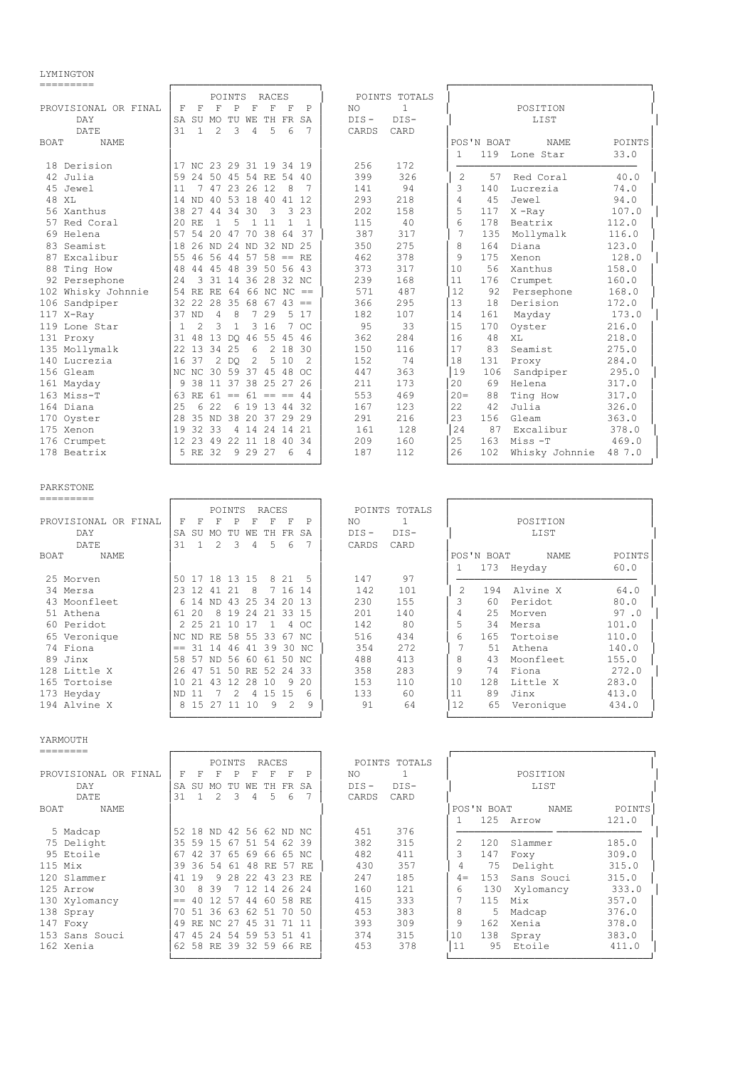# LYMINGTON<br>=========

| =========                  |                          |                             |              |                |                         |              |                |         |               |              |            |                |        |
|----------------------------|--------------------------|-----------------------------|--------------|----------------|-------------------------|--------------|----------------|---------|---------------|--------------|------------|----------------|--------|
|                            |                          |                             | POINTS       |                | RACES                   |              |                |         | POINTS TOTALS |              |            |                |        |
| PROVISIONAL OR FINAL       | $_{\rm F}$<br>$_{\rm F}$ | F                           | $\mathbf{P}$ | $_{\rm F}$     | $\mathbf{F}$            | F            | P              | NO.     | $\mathbf{1}$  |              |            | POSITION       |        |
| DAY                        | SA SU MO TU WE TH FR SA  |                             |              |                |                         |              |                | $DIS -$ | $DIS-$        |              |            | LIST           |        |
| DATE                       | 31<br>$\mathbf{1}$       | $\mathfrak{D}$              | 3            | $\overline{4}$ | 5                       | 6            |                | CARDS   | CARD          |              |            |                |        |
| <b>NAME</b><br><b>BOAT</b> |                          |                             |              |                |                         |              |                |         |               |              | POS'N BOAT | <b>NAME</b>    | POINTS |
|                            |                          |                             |              |                |                         |              |                |         |               | $\mathbf{1}$ |            | 119 Lone Star  | 33.0   |
| 18 Derision                | 17 NC 23 29 31 19 34 19  |                             |              |                |                         |              |                | 256     | 172           |              |            |                |        |
| 42 Julia                   | 59 24 50 45 54 RE 54 40  |                             |              |                |                         |              |                | 399     | 326           | 2            | 57         | Red Coral      | 40.0   |
| 45 Jewel                   | 11                       | 7 47 23 26 12               |              |                |                         | 8            | 7              | 141     | 94            | 3            | 140        | Lucrezia       | 74.0   |
| 48 XL                      | 14 ND 40 53 18 40 41 12  |                             |              |                |                         |              |                | 293     | 218           | 4            | 45         | Jewel          | 94.0   |
| 56 Xanthus                 | 38                       | 27 44 34 30                 |              |                | $\overline{\mathbf{3}}$ | $\mathbf{3}$ | 23             | 202     | 158           | 5            | 117        | $X$ -Ray       | 107.0  |
| 57 Red Coral               | 20<br>RE                 | $\mathbf{1}$                | 5            |                | 111                     | $\mathbf{1}$ | $\mathbf{1}$   | 115     | 40            | 6            | 178        | Beatrix        | 112.0  |
| 69 Helena                  | 57                       | 54 20 47 70 38 64 37        |              |                |                         |              |                | 387     | 317           | 7            | 135        | Mollymalk      | 116.0  |
| 83 Seamist                 | 18                       | 26 ND 24 ND 32 ND 25        |              |                |                         |              |                | 350     | 275           | 8            | 164        | Diana          | 123.0  |
| 87 Excalibur               | 55                       | $4656445758 == RE$          |              |                |                         |              |                | 462     | 378           | 9            | 175        | Xenon          | 128.0  |
| 88 Ting How                | 48                       | 44 45 48 39 50 56 43        |              |                |                         |              |                | 373     | 317           | 10           | 56         | Xanthus        | 158.0  |
| 92 Persephone              | 24                       | 3 31 14 36 28 32 NC         |              |                |                         |              |                | 239     | 168           | 11           | 176        | Crumpet        | 160.0  |
| 102 Whisky Johnnie         | 54 RE RE 64 66 NC NC ==  |                             |              |                |                         |              |                | 571     | 487           | 12           | 92         | Persephone     | 168.0  |
| 106 Sandpiper              | 32                       | $22\ 28\ 35\ 68\ 67\ 43 ==$ |              |                |                         |              |                | 366     | 295           | 13           | 18         | Derision       | 172.0  |
| 117 X-Ray                  | 37 ND                    | $\overline{4}$              | 8            |                | 7 29                    | .5           | 17             | 182     | 107           | 14           | 161        | Mayday         | 173.0  |
| 119 Lone Star              | $\overline{1}$           | 3<br>2                      | $\mathbf{1}$ |                | 3 16                    |              | 7 OC           | 95      | 33            | 15           | 170        | Oyster         | 216.0  |
| 131 Proxy                  | 31                       | 48 13 DQ 46 55 45 46        |              |                |                         |              |                | 362     | 284           | 16           | 48         | XL             | 218.0  |
| 135 Mollymalk              | 22 13 34 25              |                             |              | 6              |                         | 2 18 30      |                | 150     | 116           | 17           | 83         | Seamist        | 275.0  |
| 140 Lucrezia               | 16 37                    |                             | 2 DO         | 2              |                         | 510          | $\overline{2}$ | 152     | 74            | 18           | 131        | Proxy          | 284.0  |
| 156 Gleam                  | NC NC 30 59 37 45 48 OC  |                             |              |                |                         |              |                | 447     | 363           | 19           | 106        | Sandpiper      | 295.0  |
| 161 Mayday                 | $\mathsf{Q}$             | 38 11 37 38 25 27 26        |              |                |                         |              |                | 211     | 173           | 20           | 69         | Helena         | 317.0  |
| 163 Miss-T                 | 63 RE 61 == 61 == == 44  |                             |              |                |                         |              |                | 553     | 469           | $20 =$       | 88         | Ting How       | 317.0  |
| 164 Diana                  | 25                       | 6 2 2                       |              |                | 6 19 13 44 32           |              |                | 167     | 123           | 22           | 42         | Julia          | 326.0  |
| 170 Oyster                 | 28                       | 35 ND 38 20 37 29 29        |              |                |                         |              |                | 291     | 216           | 23           | 156        | Gleam          | 363.0  |
| 175 Xenon                  | 19                       | 32 33                       |              |                | 4 14 24 14 21           |              |                | 161     | 128           | 24           | 87         | Excalibur      | 378.0  |
| 176 Crumpet                | 12 23 49 22 11 18 40 34  |                             |              |                |                         |              |                | 209     | 160           | 25           | 163        | Miss-T         | 469.0  |
| 178 Beatrix                | 5 RE 32                  |                             |              | 9 2 9 2 7      |                         | 6            | 4              | 187     | 112           | 26           | 102        | Whisky Johnnie | 48 7.0 |
|                            |                          |                             |              |                |                         |              |                |         |               |              |            |                |        |
|                            |                          |                             |              |                |                         |              |                |         |               |              |            |                |        |
| <b>PARKSTONE</b>           |                          |                             |              |                |                         |              |                |         |               |              |            |                |        |

# PARKSTONE

| ________             |      |      |     |          |    |       |       |      |         |               |    |            |             |        |
|----------------------|------|------|-----|----------|----|-------|-------|------|---------|---------------|----|------------|-------------|--------|
|                      |      |      |     | POINTS   |    | RACES |       |      |         | POINTS TOTALS |    |            |             |        |
| PROVISIONAL OR FINAL | F    | F    | F   | Ρ        |    | F     | F     | Ρ    | NO.     |               |    |            | POSITION    |        |
| DAY                  | SA   | SU   | MO  | TU       | WЕ | TH.   | FR.   | SA   | $DIS -$ | $DIS-$        |    |            | LIST        |        |
| DATE                 | 31   |      | 2   | Β        | 4  | 5     | 6     |      | CARDS   | CARD          |    |            |             |        |
| BOAT<br>NAME         |      |      |     |          |    |       |       |      |         |               |    | POS'N BOAT | <b>NAME</b> | POINTS |
|                      |      |      |     |          |    |       |       |      |         |               |    |            | 173 Heyday  | 60.0   |
| 25 Morven            | 50   | 17   |     | 18 13 15 |    |       | 8 2 1 | 5    | 147     | 97            |    |            |             |        |
| 34 Mersa             | 23   | 12   | 41  | -21      | 8  |       | 16    | 14   | 142     | 101           | 2  | 194        | Alvine X    | 64.0   |
| 43 Moonfleet         |      | 6 14 | ND. | 43       | 25 | 34    | 20    | 13   | 230     | 155           | 3  | 60         | Peridot     | 80.0   |
| 51 Athena            | -61  | 20   | 8   | q        | 24 | 21    | 33    | -1.5 | 201     | 140           |    | 25         | Morven      | 97.0   |
| 60 Peridot           |      | 225  | 21  |          |    |       | -4    | OC.  | 142     | 80            |    | 34         | Mersa       | 101.0  |
| 65 Veronique         | NC.  | ND.  | RE. | 58 55    |    | 33    | 67    | NC.  | 516     | 434           | 6  | 165        | Tortoise    | 110.0  |
| 74 Fiona             | $==$ | 31   | 14  | 46       | 41 | 39    | 30    | NC.  | 354     | 2.72          |    | 51         | Athena      | 140.0  |
| 89 Jinx              | 58   | -57  | ND. | 56       | 60 | 61    | 50    | - NC | 488     | 413           | 8  | 43         | Moonfleet   | 155.0  |
| 128 Little X         | 26   | 47   | -51 | 50 RE 52 |    |       | 24 33 |      | 358     | 283           | 9  | 74         | Fiona       | 272.0  |
| 165 Tortoise         | 10   | 21   | 43  | 12       | 28 | 10    | 9     | 20   | 153     | 110           | 10 | 128        | Little X    | 283.0  |
| 173 Heyday           | ND.  |      |     | 2        | 4  | 1.5   | -1.5  | 6    | 133     | 60            | 11 | 89         | Jinx        | 413.0  |
| 194 Alvine X         | 8    | -15  | 27  | -11      | 10 | 9     | 2     | 9    | 91      | 64            | 12 | 65         | Veronique   | 434.0  |
|                      |      |      |     |          |    |       |       |      |         |               |    |            |             |        |

### YARMOUTH

|                      | POINTS TOTALS<br><b>POINTS</b><br>RACES                                                   |        |
|----------------------|-------------------------------------------------------------------------------------------|--------|
| PROVISIONAL OR FINAL | P<br>NO.<br>POSITION<br>F<br>F<br>F<br>Ρ<br>F                                             |        |
| DAY                  | $DIS-$<br>LIST<br>$DIS -$<br>SA<br>SU<br>FR.<br>SA<br>TН<br>WF.<br>TU<br>MO.              |        |
| DATE                 | 31<br>5.<br>3<br>6<br>CARDS<br>CARD<br>4                                                  |        |
| BOAT<br>NAME         | POS'N BOAT<br>NAME                                                                        | POINTS |
|                      | 125 Arrow                                                                                 | 121.0  |
| 5 Madcap             | 376<br>42 56 62 ND NC<br>451<br>52 18 ND                                                  |        |
| 75 Delight           | 315<br>382<br>35<br>120<br>Slammer<br>59<br>.54<br>62 39<br>1.5<br>-51<br>67              | 185.0  |
| 95 Etoile            | 3<br>482<br>411<br>147<br>-67<br>66<br>65<br>69<br>NC.<br>Foxy<br>37<br>65                | 309.0  |
| $115$ Mix            | 430<br>357<br>Delight<br>75<br>39<br>48<br>-57<br>RE.<br>36<br>RF.<br>4<br>54<br>61       | 315.0  |
| 120 Slammer          | 247<br>185<br>153<br>$4 =$<br>41<br>28<br>22<br>43<br>23<br>RE.<br>Sans Souci<br>1 Q<br>q | 315.0  |
| 125 Arrow            | 160<br>121<br>30<br>24<br>२०<br>$\mathcal{P}$<br>6<br>130<br>26<br>Xylomancy<br>14        | 333.0  |
| 130 Xylomancy        | 333<br>7<br>415<br>115<br>58<br>Mix<br>57<br>60<br>RE.<br>44<br>$==$                      | 357.0  |
| 138 Spray            | 453<br>383<br>50<br>8<br>70<br>36<br>.51<br>70<br>5<br>-51<br>62.<br>Madcap<br>-63        | 376.0  |
| 147 Foxy             | 393<br>309<br>9<br>162<br>Xenia<br>49<br>RE.<br>-31<br>45<br>NC.                          | 378.0  |
| 153 Sans Souci       | 374<br>315<br>10<br>138<br>47<br>53<br>59<br>51<br>41<br>45<br>24<br>-54<br>Spray         | 383.0  |
| 162 Xenia            | 11<br>453<br>378<br>95<br>Etoile<br>62<br>58 RE 39 32 59 66 RE                            | 411.0  |
|                      |                                                                                           |        |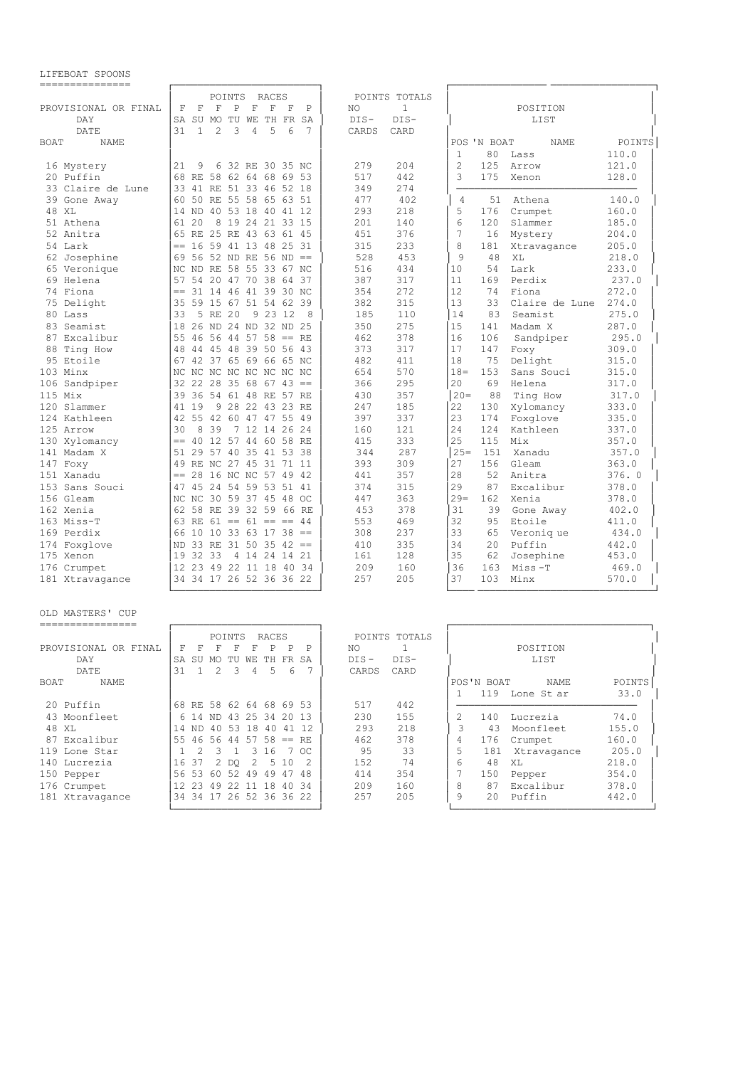|                            |                         |              |                | POINTS       |    | RACES                     |                 |              |        | POINTS TOTALS |                |                   |                     |                        |
|----------------------------|-------------------------|--------------|----------------|--------------|----|---------------------------|-----------------|--------------|--------|---------------|----------------|-------------------|---------------------|------------------------|
| PROVISIONAL OR FINAL       | $\mathbf F$             | $\mathbf F$  | $\mathbf F$    | $\, {\bf P}$ | F  | F                         | F               | $\mathbb P$  | NO.    | $\mathbf{1}$  |                |                   | POSITION            |                        |
| <b>DAY</b>                 | SA                      |              | SU MO          | TU WE        |    | TH FR                     |                 | <b>SA</b>    | $DIS-$ | $DIS-$        |                |                   | LIST                |                        |
| DATE                       | 31                      | $\mathbf{1}$ | $\overline{c}$ | 3            | 4  | 5                         | $6\overline{6}$ | 7            | CARDS  | CARD          |                |                   |                     |                        |
| <b>BOAT</b><br><b>NAME</b> |                         |              |                |              |    |                           |                 |              |        |               | $\mathbf{1}$   | POS 'N BOAT<br>80 | <b>NAME</b><br>Lass | <b>POINTS</b><br>110.0 |
| 16 Mystery                 | 21                      | 9            |                |              |    | 6 32 RE 30 35 NC          |                 |              | 279    | 204           | $\overline{2}$ | 125               | Arrow               | 121.0                  |
| 20 Puffin                  | 68                      |              | RE 58 62       |              |    | 64 68 69                  |                 | -53          | 517    | 442           | 3              | 175               | Xenon               | 128.0                  |
| 33 Claire de Lune          | 33                      |              |                |              |    | 41 RE 51 33 46 52 18      |                 |              | 349    | 274           |                |                   |                     |                        |
| 39 Gone Away               | 60                      |              |                |              |    | 50 RE 55 58 65 63 51      |                 |              | 477    | 402           | $\overline{4}$ | 51                | Athena              | 140.0                  |
| 48 XL                      |                         |              |                |              |    | 14 ND 40 53 18 40 41 12   |                 |              | 293    | 218           | 5              | 176               | Crumpet             | 160.0                  |
| 51 Athena                  | 61                      | 20           |                |              |    | 8 19 24 21 33 15          |                 |              | 201    | 140           | 6              | 120               | Slammer             | 185.0                  |
| 52 Anitra                  |                         |              |                |              |    | 65 RE 25 RE 43 63 61 45   |                 |              | 451    | 376           | 7              | 16                | Mystery             | 204.0                  |
| 54 Lark                    | $= -$                   |              |                |              |    | 16 59 41 13 48 25 31      |                 |              | 315    | 233           | 8              | 181               | Xtravagance         | 205.0                  |
| 62 Josephine               | 69                      |              |                |              |    | 56 52 ND RE 56 ND ==      |                 |              | 528    | 453           | 9              | 48                | XL                  | 218.0                  |
| 65 Veronique               | NC ND RE 58             |              |                |              | 55 | 33 67 NC                  |                 |              | 516    | 434           | 10             | 54                | Lark                | 233.0                  |
| 69 Helena                  |                         |              |                |              |    | 57 54 20 47 70 38 64 37   |                 |              | 387    | 317           | 11             | 169               | Perdix              | 237.0                  |
| 74 Fiona                   | $=$                     |              | 31 14          |              |    | 46 41 39 30 NC            |                 |              | 354    | 272           | 12             | 74                | Fiona               | 272.0                  |
| 75 Delight                 |                         |              |                |              |    | 35 59 15 67 51 54 62 39   |                 |              | 382    | 315           | 13             | 33                | Claire de Lune      | 274.0                  |
| 80 Lass                    | 33                      |              | 5 RE 20        |              |    | 9 23 12                   |                 | 8            | 185    | 110           | 14             | 83                | Seamist             | 275.0                  |
| 83 Seamist                 | 18                      |              |                |              |    | 26 ND 24 ND 32 ND 25      |                 |              | 350    | 275           | 15             | 141               | Madam X             | 287.0                  |
| 87 Excalibur               | 55                      |              |                |              |    | $4656445758 == RE$        |                 |              | 462    | 378           | 16             | 106               | Sandpiper           | 295.0                  |
| 88 Ting How                | 48                      |              |                |              |    | 44 45 48 39 50 56         |                 | 43           | 373    | 317           | 17             | 147               | Foxy                | 309.0                  |
| 95 Etoile                  | 67                      |              |                |              |    | 42 37 65 69 66 65 NC      |                 |              | 482    | 411           | 18             | 75                | Delight             | 315.0                  |
| 103 Minx                   |                         |              |                |              |    | NC NC NC NC NC NC NC NC   |                 |              | 654    | 570           | $18 =$         | 153               | Sans Souci          | 315.0                  |
| 106 Sandpiper              |                         |              |                |              |    | $32$ 22 28 35 68 67 43 == |                 |              | 366    | 295           | 20             | 69                | Helena              | 317.0                  |
| 115 Mix                    | 39                      |              |                |              |    | 36 54 61 48 RE 57 RE      |                 |              | 430    | 357           | $20 -$         | 88                | Ting How            | 317.0                  |
| 120 Slammer                | 41 19                   |              |                |              |    | 9 28 22 43 23 RE          |                 |              | 247    | 185           | 22             | 130               | Xylomancy           | 333.0                  |
| 124 Kathleen               | 42                      |              |                |              |    | 55 42 60 47 47 55         |                 | -49          | 397    | 337           | 23             | 174               | Foxglove            | 335.0                  |
| 125 Arrow                  | 30                      |              | 8 3 9          |              |    | 7 12 14 26 24             |                 |              | 160    | 121           | 24             | 124               | Kathleen            | 337.0                  |
| 130 Xylomancy              | $= -$                   | 40           | 12 57          |              |    | 44 60 58 RE               |                 |              | 415    | 333           | 25             | 115               | Mix                 | 357.0                  |
| 141 Madam X                |                         |              |                |              |    | 51 29 57 40 35 41 53 38   |                 |              | 344    | 287           | $25=$          | 151               | Xanadu              | 357.0                  |
| 147 Foxy                   | 49                      |              |                |              |    | RE NC 27 45 31 71 11      |                 |              | 393    | 309           | 27             | 156               | Gleam               | 363.0                  |
| 151 Xanadu                 |                         |              |                |              |    | $== 28 16$ NC NC 57 49 42 |                 |              | 441    | 357           | 28             | 52                | Anitra              | 376.0                  |
| 153 Sans Souci             |                         |              |                |              |    | 47 45 24 54 59 53 51 41   |                 |              | 374    | 315           | 29             | 87                | Excalibur           | 378.0                  |
| 156 Gleam                  | NC NC 30 59 37 45 48 OC |              |                |              |    |                           |                 |              | 447    | 363           | $29=$          | 162               | Xenia               | 378.0                  |
| 162 Xenia                  | 62 58 RE 39 32 59       |              |                |              |    |                           | 66              | RE           | 453    | 378           | 31             | 39                | Gone Away           | 402.0                  |
| 163 Miss-T                 |                         |              |                |              |    | 63 RE 61 == 61 == ==      |                 | 44           | 553    | 469           | 32             | 95                | Etoile              | 411.0                  |
| 169 Perdix                 | 66                      |              |                |              |    | 10 10 33 63 17            | 38              | $=$ $=$      | 308    | 237           | 33             | 65                | Veroniq ue          | 434.0                  |
| 174 Foxglove               | ND 33 RE 31 50 35 42 == |              |                |              |    |                           |                 |              | 410    | 335           | 34             | 20                | Puffin              | 442.0                  |
| 175 Xenon                  | 19                      | 32 33        |                |              |    | 4 14 24 14 21             |                 |              | 161    | 128           | 35             | 62                | Josephine           | 453.0                  |
| 176 Crumpet                |                         |              |                |              |    | 12 23 49 22 11 18 40 34   |                 |              | 209    | 160           | 36             | 163               | Miss-T              | 469.0                  |
| 181 Xtravagance            |                         |              |                |              |    | 34 34 17 26 52 36 36 22   |                 |              | 257    | 205           | 37             | 103               | Minx                | 570.0                  |
| OLD MASTERS' CUP           |                         |              |                |              |    |                           |                 |              |        |               |                |                   |                     |                        |
| -----------------          |                         |              |                | POINTS       |    | RACES                     |                 |              |        | POINTS TOTALS |                |                   |                     |                        |
| PROVISIONAL OR FINAL       | F                       | F            | F              |              |    | F F P                     | $\mathsf{P}$    | $\mathsf{P}$ | N()    | $\sim$ 1      |                |                   | POSITION            |                        |

|                      |           |       |     | POINTS                  |                | RACES    |       |               |         | POINTS TOTALS |   |              |             |        |
|----------------------|-----------|-------|-----|-------------------------|----------------|----------|-------|---------------|---------|---------------|---|--------------|-------------|--------|
| PROVISIONAL OR FINAL | F         |       |     |                         |                | P        | P     | P             | NO.     |               |   |              | POSITION    |        |
| DAY                  | <b>SA</b> | SU    | MO. | TU                      | WЕ             | TH       | FR SA |               | $DIS -$ | $DIS-$        |   |              | LIST        |        |
| DATE                 | 31        |       |     | 3                       | 4              | 5.       | 6     |               | CARDS   | CARD          |   |              |             |        |
| BOAT<br>NAME         |           |       |     |                         |                |          |       |               |         |               |   | POS'N BOAT   | NAME        | POINTS |
|                      |           |       |     |                         |                |          |       |               |         |               |   | 119          | Lone St ar  | 33.0   |
| 20 Puffin            |           |       |     | 68 RE 58 62 64 68 69 53 |                |          |       |               | 517     | 442           |   |              |             |        |
| 43 Moonfleet         |           |       |     | 6 14 ND 43 25 34 20 13  |                |          |       |               | 230     | 155           |   | 140          | Lucrezia    | 74.0   |
| 48 XL                |           | 14 ND |     | 40 53 18 40             |                |          | 41    | 12            | 293     | 218           |   | 43           | Moonfleet   | 155.0  |
| 87 Excalibur         |           |       |     | 55 46 56 44 57 58 == RE |                |          |       |               | 462     | 378           | 4 | 176          | Crumpet     | 160.0  |
| 119 Lone Star        |           |       | 3   |                         |                | 3 16     |       | 7 OC          | 95      | 33            | 5 | 181          | Xtravagance | 205.0  |
| 140 Lucrezia         |           | 16 37 |     | 2 DO                    | $\overline{2}$ |          | 5 10  | $\mathcal{P}$ | 152     | 74            | 6 | 48           | XT.         | 218.0  |
| 150 Pepper           |           | 56 53 |     | 60 52                   |                | 49 49    | 47    | 48            | 414     | 354           |   | 150          | Pepper      | 354.0  |
| 176 Crumpet          |           | 12 23 |     | 49 22 11                |                | 18 40 34 |       |               | 209     | 160           | 8 | 87           | Excalibur   | 378.0  |
| 181 Xtravagance      |           |       |     | 34 34 17 26 52 36 36 22 |                |          |       |               | 257     | 205           |   | $20^{\circ}$ | Puffin      | 442.0  |
|                      |           |       |     |                         |                |          |       |               |         |               |   |              |             |        |